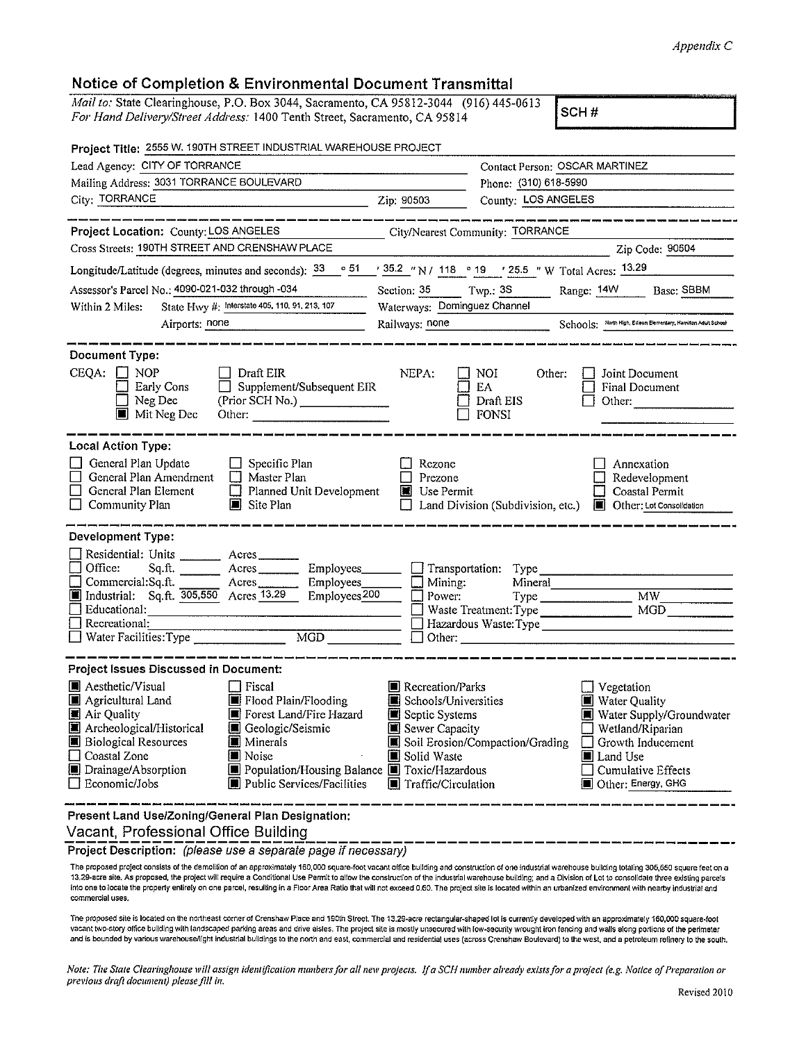## *Appendix C*

## **Notice of Completion & Environmental Document Transmittal**

| Notice of Completion & Environmental Document Fransmittal                                                                                                                                                                                                                                                                                                   |                                                                                                                                                                                                                                                                                                                                                 |
|-------------------------------------------------------------------------------------------------------------------------------------------------------------------------------------------------------------------------------------------------------------------------------------------------------------------------------------------------------------|-------------------------------------------------------------------------------------------------------------------------------------------------------------------------------------------------------------------------------------------------------------------------------------------------------------------------------------------------|
| Mail to: State Clearinghouse, P.O. Box 3044, Sacramento, CA 95812-3044 (916) 445-0613<br>For Hand Delivery/Street Address: 1400 Tenth Street, Sacramento, CA 95814                                                                                                                                                                                          | SCH#                                                                                                                                                                                                                                                                                                                                            |
| Project Title: 2555 W. 190TH STREET INDUSTRIAL WAREHOUSE PROJECT                                                                                                                                                                                                                                                                                            |                                                                                                                                                                                                                                                                                                                                                 |
| Lead Agency: CITY OF TORRANCE                                                                                                                                                                                                                                                                                                                               | Contact Person: OSCAR MARTINEZ                                                                                                                                                                                                                                                                                                                  |
| Mailing Address: 3031 TORRANCE BOULEVARD                                                                                                                                                                                                                                                                                                                    | Phone: (310) 618-5990                                                                                                                                                                                                                                                                                                                           |
| City: TORRANCE                                                                                                                                                                                                                                                                                                                                              | County: LOS ANGELES                                                                                                                                                                                                                                                                                                                             |
| Project Location: County: LOS ANGELES                                                                                                                                                                                                                                                                                                                       | City/Nearest Community: TORRANCE                                                                                                                                                                                                                                                                                                                |
| Cross Streets: 190TH STREET AND CRENSHAW PLACE                                                                                                                                                                                                                                                                                                              | Zip Code: 90504                                                                                                                                                                                                                                                                                                                                 |
| Longitude/Latitude (degrees, minutes and seconds): 33                                                                                                                                                                                                                                                                                                       | $\frac{1}{2}$ 51 $\frac{1}{2}$ 35.2 $\frac{1}{2}$ N / 118 $\degree$ 19 $\degree$ 125.5 $\degree$ W Total Acres: 13.29                                                                                                                                                                                                                           |
| Assessor's Parcel No.: 4090-021-032 through -034                                                                                                                                                                                                                                                                                                            | Twp.: $3S$<br>Range: 14W<br>Base: SBBM<br>Section: 35                                                                                                                                                                                                                                                                                           |
| State Hwy #: Interstate 405, 110, 91, 213, 107<br>Within 2 Miles:                                                                                                                                                                                                                                                                                           | Waterways: Dominguez Channel                                                                                                                                                                                                                                                                                                                    |
| Airports: none                                                                                                                                                                                                                                                                                                                                              | Railways: none Schools: North High, Edison Elementary, Hamliton Adult School                                                                                                                                                                                                                                                                    |
|                                                                                                                                                                                                                                                                                                                                                             |                                                                                                                                                                                                                                                                                                                                                 |
| <b>Document Type:</b><br>CEQA:<br>Draft EIR<br><b>NOP</b><br>Supplement/Subsequent EIR<br>Early Cons<br>(Prior SCH No.) _______________<br>Neg Dec<br><b>Mit Neg Dec</b>                                                                                                                                                                                    | NEPA:<br>Other:<br>Joint Document<br>NOI<br>EA<br>Final Document<br>Draft EIS<br>Other:<br>FONSI                                                                                                                                                                                                                                                |
| <b>Local Action Type:</b><br>General Plan Update<br>Specific Plan<br>General Plan Amendment<br>$\Box$ Master Plan<br>General Plan Element<br>$\Box$ Planned Unit Development<br>Community Plan<br>Site Plan                                                                                                                                                 | Rezone<br>Annexation<br>Prezone<br>Redevelopment<br>Use Permit<br>Coastal Permit<br>Land Division (Subdivision, etc.)<br>Other: Lot Consolidation<br>$\blacksquare$                                                                                                                                                                             |
| Development Type:<br>Residential: Units<br>$A$ cres<br>Office:<br>Sq.ft.<br>Acres<br>Employees____<br>Employees_<br>Commercial:Sq.ft.<br>A <sub>cres</sub><br>Industrial: Sq.ft. 305,550 Acres 13.29<br>Employees <sub>200</sub><br>Educational:<br>Recreational:<br>11<br>$\overline{MGD}$<br>Water Facilities: Type                                       | $\Box$ Transportation:<br>Type<br>Mineral<br>Mining:<br>Power:<br>MW<br>MGD<br>Waste Treatment: Type<br>Other:                                                                                                                                                                                                                                  |
| <b>Project Issues Discussed in Document:</b>                                                                                                                                                                                                                                                                                                                |                                                                                                                                                                                                                                                                                                                                                 |
| ■ Aesthetic/Visual<br>Fiscal<br>Agricultural Land<br>■ Flood Plain/Flooding<br>ш<br>■ Air Quality<br>Forest Land/Fire Hazard<br>Archeological/Historical<br>Geologic/Seismic<br><b>B</b> Biological Resources<br> ■ Minerals<br>Coastal Zone<br>Noise<br>Drainage/Absorption<br>Population/Housing Balance<br>□ Economic/Jobs<br>Public Services/Facilities | Recreation/Parks<br>Vegetation<br>Schools/Universities<br>■ Water Quality<br>∐<br>Septic Systems<br>Water Supply/Groundwater<br>Sewer Capacity<br>Wetland/Riparian<br>Soil Erosion/Compaction/Grading<br>Growth Inducement<br>Solid Waste<br>Land Use<br>■ Toxic/Hazardous<br>Cumulative Effects<br>■ Traffic/Circulation<br>Other: Energy, GHG |
| Present Land Use/Zoning/General Plan Designation:<br>$\sim$ 1.000 $\sim$ 0.000 $\sim$ 1.1000 $\sim$                                                                                                                                                                                                                                                         |                                                                                                                                                                                                                                                                                                                                                 |

Vacant, Professional Office Building

**Project Description:** (please use a separate page if necessary)

The proposed project consists of the demolition of an approximately 160,000 square-foot vacant office building and construction of one industrial warehouse building totaling 305,550 square feet on a<br>13.29-acre site, As pro commercial uses.

The proposed site is located on the northeast corner of Crenshaw Place and 190th Street. The 13.29-acre rectangular-shaped lot is currently developed with an approximately 160,000 square-foot vacant two-story office building with landscaped parking areas and drive aisles. The project site is mostly unsecured with low-security wrought iron fencing and walls along portions of the perimeter<br>and is bounded by vario

Note: The State Clearinghouse will assign identification numbers for all new projects. If a SCH number already exists for a project (e.g. Notice of Preparation or previous draft document) please fill in.